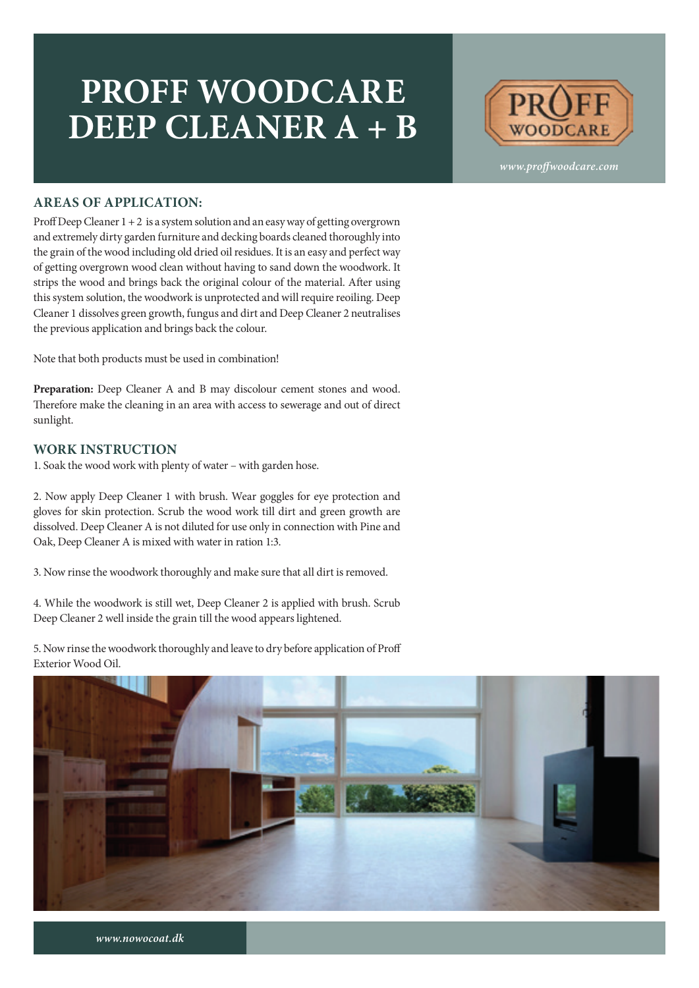## **PROFF WOODCARE DEEP CLEANER A + B**



*www.proffwoodcare.com*

#### **AREAS OF APPLICATION:**

Proff Deep Cleaner 1 + 2 is a system solution and an easy way of getting overgrown and extremely dirty garden furniture and decking boards cleaned thoroughly into the grain of the wood including old dried oil residues. It is an easy and perfect way of getting overgrown wood clean without having to sand down the woodwork. It strips the wood and brings back the original colour of the material. After using this system solution, the woodwork is unprotected and will require reoiling. Deep Cleaner 1 dissolves green growth, fungus and dirt and Deep Cleaner 2 neutralises the previous application and brings back the colour.

Note that both products must be used in combination!

**Preparation:** Deep Cleaner A and B may discolour cement stones and wood. Therefore make the cleaning in an area with access to sewerage and out of direct sunlight.

#### **WORK INSTRUCTION**

1. Soak the wood work with plenty of water – with garden hose.

2. Now apply Deep Cleaner 1 with brush. Wear goggles for eye protection and gloves for skin protection. Scrub the wood work till dirt and green growth are dissolved. Deep Cleaner A is not diluted for use only in connection with Pine and Oak, Deep Cleaner A is mixed with water in ration 1:3.

3. Now rinse the woodwork thoroughly and make sure that all dirt is removed.

4. While the woodwork is still wet, Deep Cleaner 2 is applied with brush. Scrub Deep Cleaner 2 well inside the grain till the wood appears lightened.

5. Now rinse the woodwork thoroughly and leave to dry before application of Proff Exterior Wood Oil.